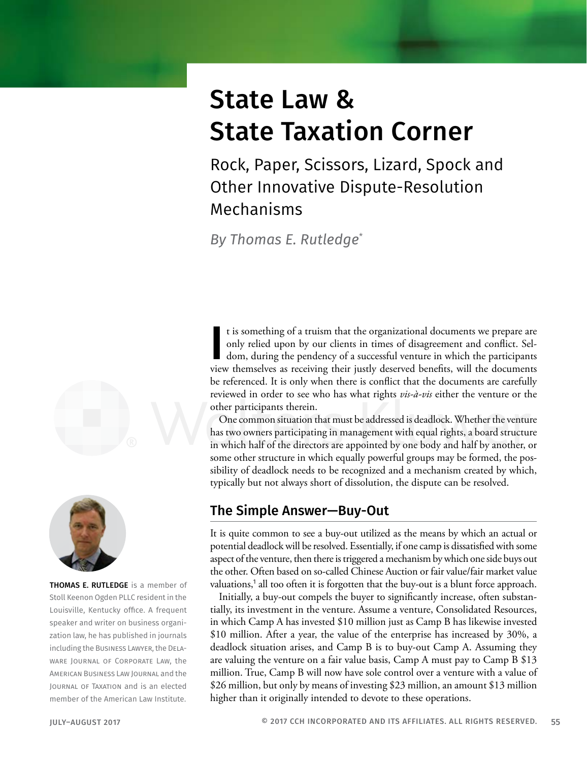# State Law & State Taxation Corner

Rock, Paper, Scissors, Lizard, Spock and Other Innovative Dispute-Resolution Mechanisms

*By Thomas E. Rutledge*\*





THOMAS E. RUTLEDGE is a member of Stoll Keenon Ogden PLLC resident in the Louisville, Kentucky office. A frequent speaker and writer on business organization law, he has published in journals including the Business Lawyer, the Delaware Journal of Corporate Law, the American Business Law Journal and the Journal of Taxation and is an elected member of the American Law Institute.

It is something of a truism that the organizational documents we prepare are only relied upon by our clients in times of disagreement and conflict. Seldom, during the pendency of a successful venture in which the participa t is something of a truism that the organizational documents we prepare are only relied upon by our clients in times of disagreement and conflict. Seldom, during the pendency of a successful venture in which the participants be referenced. It is only when there is conflict that the documents are carefully reviewed in order to see who has what rights *vis-à-vis* either the venture or the other participants therein.

One common situation that must be addressed is deadlock. Whether the venture has two owners participating in management with equal rights, a board structure in which half of the directors are appointed by one body and half by another, or some other structure in which equally powerful groups may be formed, the possibility of deadlock needs to be recognized and a mechanism created by which, typically but not always short of dissolution, the dispute can be resolved.

## The Simple Answer—Buy-Out

It is quite common to see a buy-out utilized as the means by which an actual or potential deadlock will be resolved. Essentially, if one camp is dissatisfied with some aspect of the venture, then there is triggered a mechanism by which one side buys out the other. Often based on so-called Chinese Auction or fair value/fair market value valuations,<sup>1</sup> all too often it is forgotten that the buy-out is a blunt force approach.

Initially, a buy-out compels the buyer to significantly increase, often substantially, its investment in the venture. Assume a venture, Consolidated Resources, in which Camp A has invested \$10 million just as Camp B has likewise invested \$10 million. After a year, the value of the enterprise has increased by 30%, a deadlock situation arises, and Camp B is to buy-out Camp A. Assuming they are valuing the venture on a fair value basis, Camp A must pay to Camp B \$13 million. True, Camp B will now have sole control over a venture with a value of \$26 million, but only by means of investing \$23 million, an amount \$13 million higher than it originally intended to devote to these operations.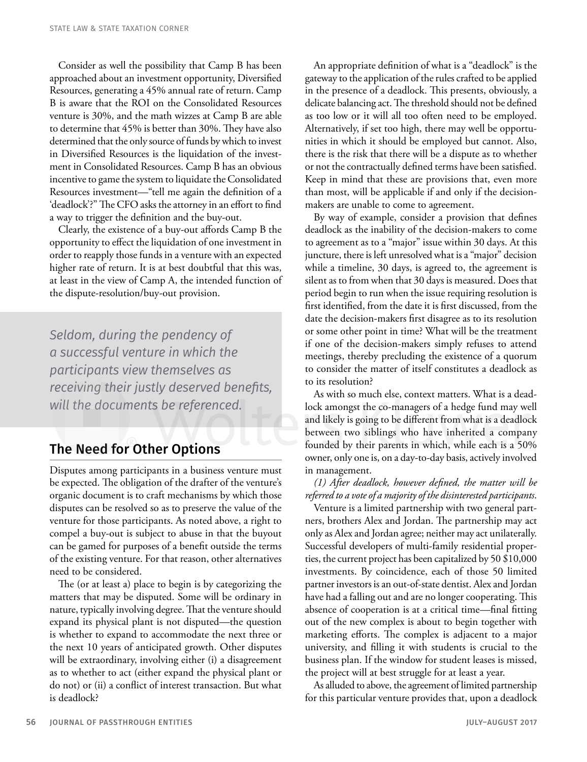Consider as well the possibility that Camp B has been approached about an investment opportunity, Diversified Resources, generating a 45% annual rate of return. Camp B is aware that the ROI on the Consolidated Resources venture is 30%, and the math wizzes at Camp B are able to determine that 45% is better than 30%. They have also determined that the only source of funds by which to invest in Diversified Resources is the liquidation of the investment in Consolidated Resources. Camp B has an obvious incentive to game the system to liquidate the Consolidated Resources investment—"tell me again the definition of a 'deadlock'?" The CFO asks the attorney in an effort to find a way to trigger the definition and the buy-out.

Clearly, the existence of a buy-out affords Camp B the opportunity to effect the liquidation of one investment in order to reapply those funds in a venture with an expected higher rate of return. It is at best doubtful that this was, at least in the view of Camp A, the intended function of the dispute-resolution/buy-out provision.

*Seldom, during the pendency of a successful venture in which the participants view themselves as receiving their justly deserved benefits, will the documents be referenced.* 

## The Need for Other Options

Disputes among participants in a business venture must be expected. The obligation of the drafter of the venture's organic document is to craft mechanisms by which those disputes can be resolved so as to preserve the value of the venture for those participants. As noted above, a right to compel a buy-out is subject to abuse in that the buyout can be gamed for purposes of a benefit outside the terms of the existing venture. For that reason, other alternatives need to be considered.

The (or at least a) place to begin is by categorizing the matters that may be disputed. Some will be ordinary in nature, typically involving degree. That the venture should expand its physical plant is not disputed—the question is whether to expand to accommodate the next three or the next 10 years of anticipated growth. Other disputes will be extraordinary, involving either (i) a disagreement as to whether to act (either expand the physical plant or do not) or (ii) a conflict of interest transaction. But what is deadlock?

An appropriate definition of what is a "deadlock" is the gateway to the application of the rules crafted to be applied in the presence of a deadlock. This presents, obviously, a delicate balancing act. The threshold should not be defined as too low or it will all too often need to be employed. Alternatively, if set too high, there may well be opportunities in which it should be employed but cannot. Also, there is the risk that there will be a dispute as to whether or not the contractually defined terms have been satisfied. Keep in mind that these are provisions that, even more than most, will be applicable if and only if the decisionmakers are unable to come to agreement.

By way of example, consider a provision that defines deadlock as the inability of the decision-makers to come to agreement as to a "major" issue within 30 days. At this juncture, there is left unresolved what is a "major" decision while a timeline, 30 days, is agreed to, the agreement is silent as to from when that 30 days is measured. Does that period begin to run when the issue requiring resolution is first identified, from the date it is first discussed, from the date the decision-makers first disagree as to its resolution or some other point in time? What will be the treatment if one of the decision-makers simply refuses to attend meetings, thereby precluding the existence of a quorum to consider the matter of itself constitutes a deadlock as to its resolution?

As with so much else, context matters. What is a deadlock amongst the co-managers of a hedge fund may well and likely is going to be different from what is a deadlock between two siblings who have inherited a company founded by their parents in which, while each is a 50% owner, only one is, on a day-to-day basis, actively involved in management.

*(1) After deadlock, however defined, the matter will be referred to a vote of a majority of the disinterested participants*.

Venture is a limited partnership with two general partners, brothers Alex and Jordan. The partnership may act only as Alex and Jordan agree; neither may act unilaterally. Successful developers of multi-family residential properties, the current project has been capitalized by 50 \$10,000 investments. By coincidence, each of those 50 limited partner investors is an out-of-state dentist. Alex and Jordan have had a falling out and are no longer cooperating. This absence of cooperation is at a critical time—final fitting out of the new complex is about to begin together with marketing efforts. The complex is adjacent to a major university, and filling it with students is crucial to the business plan. If the window for student leases is missed, the project will at best struggle for at least a year.

As alluded to above, the agreement of limited partnership for this particular venture provides that, upon a deadlock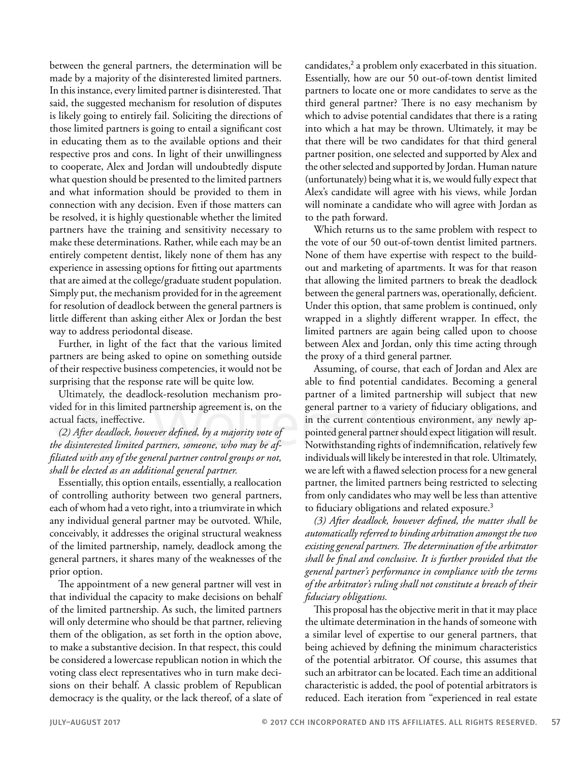between the general partners, the determination will be made by a majority of the disinterested limited partners. In this instance, every limited partner is disinterested. That said, the suggested mechanism for resolution of disputes is likely going to entirely fail. Soliciting the directions of those limited partners is going to entail a significant cost in educating them as to the available options and their respective pros and cons. In light of their unwillingness to cooperate, Alex and Jordan will undoubtedly dispute what question should be presented to the limited partners and what information should be provided to them in connection with any decision. Even if those matters can be resolved, it is highly questionable whether the limited partners have the training and sensitivity necessary to make these determinations. Rather, while each may be an entirely competent dentist, likely none of them has any experience in assessing options for fitting out apartments that are aimed at the college/graduate student population. Simply put, the mechanism provided for in the agreement for resolution of deadlock between the general partners is little different than asking either Alex or Jordan the best way to address periodontal disease.

Further, in light of the fact that the various limited partners are being asked to opine on something outside of their respective business competencies, it would not be surprising that the response rate will be quite low.

Ultimately, the deadlock-resolution mechanism provided for in this limited partnership agreement is, on the actual facts, ineffective.

*(2) After deadlock, however defined, by a majority vote of the disinterested limited partners, someone, who may be affiliated with any of the general partner control groups or not, shall be elected as an additional general partner.*

Essentially, this option entails, essentially, a reallocation of controlling authority between two general partners, each of whom had a veto right, into a triumvirate in which any individual general partner may be outvoted. While, conceivably, it addresses the original structural weakness of the limited partnership, namely, deadlock among the general partners, it shares many of the weaknesses of the prior option.

The appointment of a new general partner will vest in that individual the capacity to make decisions on behalf of the limited partnership. As such, the limited partners will only determine who should be that partner, relieving them of the obligation, as set forth in the option above, to make a substantive decision. In that respect, this could be considered a lowercase republican notion in which the voting class elect representatives who in turn make decisions on their behalf. A classic problem of Republican democracy is the quality, or the lack thereof, of a slate of

candidates,<sup>2</sup> a problem only exacerbated in this situation. Essentially, how are our 50 out-of-town dentist limited partners to locate one or more candidates to serve as the third general partner? There is no easy mechanism by which to advise potential candidates that there is a rating into which a hat may be thrown. Ultimately, it may be that there will be two candidates for that third general partner position, one selected and supported by Alex and the other selected and supported by Jordan. Human nature (unfortunately) being what it is, we would fully expect that Alex's candidate will agree with his views, while Jordan will nominate a candidate who will agree with Jordan as to the path forward.

Which returns us to the same problem with respect to the vote of our 50 out-of-town dentist limited partners. None of them have expertise with respect to the buildout and marketing of apartments. It was for that reason that allowing the limited partners to break the deadlock between the general partners was, operationally, deficient. Under this option, that same problem is continued, only wrapped in a slightly different wrapper. In effect, the limited partners are again being called upon to choose between Alex and Jordan, only this time acting through the proxy of a third general partner.

Assuming, of course, that each of Jordan and Alex are able to find potential candidates. Becoming a general partner of a limited partnership will subject that new general partner to a variety of fiduciary obligations, and in the current contentious environment, any newly appointed general partner should expect litigation will result. Notwithstanding rights of indemnification, relatively few individuals will likely be interested in that role. Ultimately, we are left with a flawed selection process for a new general partner, the limited partners being restricted to selecting from only candidates who may well be less than attentive to fiduciary obligations and related exposure.<sup>3</sup>

*(3) After deadlock, however defined, the matter shall be automatically referred to binding arbitration amongst the two existing general partners. The determination of the arbitrator shall be final and conclusive. It is further provided that the general partner's performance in compliance with the terms of the arbitrator's ruling shall not constitute a breach of their fiduciary obligations.*

This proposal has the objective merit in that it may place the ultimate determination in the hands of someone with a similar level of expertise to our general partners, that being achieved by defining the minimum characteristics of the potential arbitrator. Of course, this assumes that such an arbitrator can be located. Each time an additional characteristic is added, the pool of potential arbitrators is reduced. Each iteration from "experienced in real estate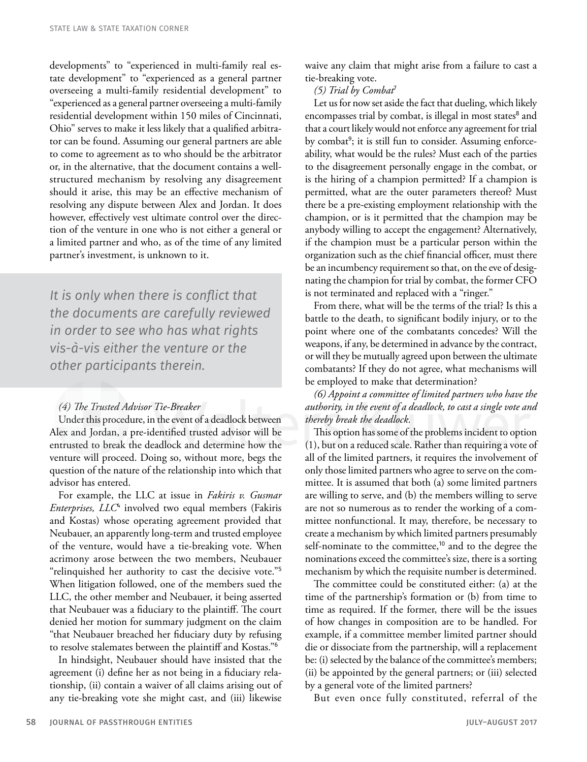developments" to "experienced in multi-family real estate development" to "experienced as a general partner overseeing a multi-family residential development" to "experienced as a general partner overseeing a multi-family residential development within 150 miles of Cincinnati, Ohio" serves to make it less likely that a qualified arbitrator can be found. Assuming our general partners are able to come to agreement as to who should be the arbitrator or, in the alternative, that the document contains a wellstructured mechanism by resolving any disagreement should it arise, this may be an effective mechanism of resolving any dispute between Alex and Jordan. It does however, effectively vest ultimate control over the direction of the venture in one who is not either a general or a limited partner and who, as of the time of any limited partner's investment, is unknown to it.

*It is only when there is conflict that the documents are carefully reviewed in order to see who has what rights vis-à-vis either the venture or the other participants therein.*

### *(4) The Trusted Advisor Tie-Breaker*

Under this procedure, in the event of a deadlock between Alex and Jordan, a pre-identified trusted advisor will be entrusted to break the deadlock and determine how the venture will proceed. Doing so, without more, begs the question of the nature of the relationship into which that advisor has entered.

For example, the LLC at issue in *Fakiris v. Gusmar Enterprises, LLC*<sup>4</sup> involved two equal members (Fakiris and Kostas) whose operating agreement provided that Neubauer, an apparently long-term and trusted employee of the venture, would have a tie-breaking vote. When acrimony arose between the two members, Neubauer "relinquished her authority to cast the decisive vote."<sup>5</sup> When litigation followed, one of the members sued the LLC, the other member and Neubauer, it being asserted that Neubauer was a fiduciary to the plaintiff. The court denied her motion for summary judgment on the claim "that Neubauer breached her fiduciary duty by refusing to resolve stalemates between the plaintiff and Kostas."<sup>6</sup>

In hindsight, Neubauer should have insisted that the agreement (i) define her as not being in a fiduciary relationship, (ii) contain a waiver of all claims arising out of any tie-breaking vote she might cast, and (iii) likewise

waive any claim that might arise from a failure to cast a tie-breaking vote.

#### *(5) Trial by Combat*<sup>7</sup>

Let us for now set aside the fact that dueling, which likely encompasses trial by combat, is illegal in most states<sup>8</sup> and that a court likely would not enforce any agreement for trial by combat<sup>9</sup>; it is still fun to consider. Assuming enforceability, what would be the rules? Must each of the parties to the disagreement personally engage in the combat, or is the hiring of a champion permitted? If a champion is permitted, what are the outer parameters thereof? Must there be a pre-existing employment relationship with the champion, or is it permitted that the champion may be anybody willing to accept the engagement? Alternatively, if the champion must be a particular person within the organization such as the chief financial officer, must there be an incumbency requirement so that, on the eve of designating the champion for trial by combat, the former CFO is not terminated and replaced with a "ringer."

From there, what will be the terms of the trial? Is this a battle to the death, to significant bodily injury, or to the point where one of the combatants concedes? Will the weapons, if any, be determined in advance by the contract, or will they be mutually agreed upon between the ultimate combatants? If they do not agree, what mechanisms will be employed to make that determination?

*(6) Appoint a committee of limited partners who have the authority, in the event of a deadlock, to cast a single vote and thereby break the deadlock.*

This option has some of the problems incident to option (1), but on a reduced scale. Rather than requiring a vote of all of the limited partners, it requires the involvement of only those limited partners who agree to serve on the committee. It is assumed that both (a) some limited partners are willing to serve, and (b) the members willing to serve are not so numerous as to render the working of a committee nonfunctional. It may, therefore, be necessary to create a mechanism by which limited partners presumably self-nominate to the committee,<sup>10</sup> and to the degree the nominations exceed the committee's size, there is a sorting mechanism by which the requisite number is determined.

The committee could be constituted either: (a) at the time of the partnership's formation or (b) from time to time as required. If the former, there will be the issues of how changes in composition are to be handled. For example, if a committee member limited partner should die or dissociate from the partnership, will a replacement be: (i) selected by the balance of the committee's members; (ii) be appointed by the general partners; or (iii) selected by a general vote of the limited partners?

But even once fully constituted, referral of the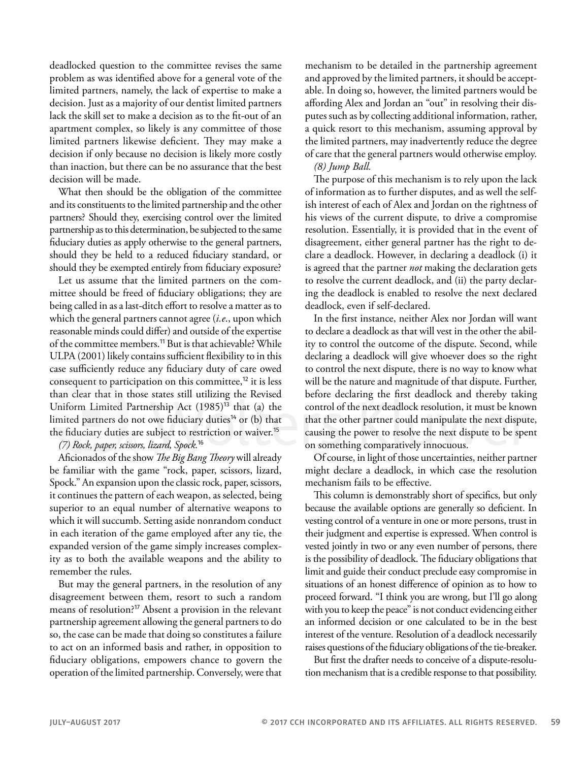deadlocked question to the committee revises the same problem as was identified above for a general vote of the limited partners, namely, the lack of expertise to make a decision. Just as a majority of our dentist limited partners lack the skill set to make a decision as to the fit-out of an apartment complex, so likely is any committee of those limited partners likewise deficient. They may make a decision if only because no decision is likely more costly than inaction, but there can be no assurance that the best decision will be made.

What then should be the obligation of the committee and its constituents to the limited partnership and the other partners? Should they, exercising control over the limited partnership as to this determination, be subjected to the same fiduciary duties as apply otherwise to the general partners, should they be held to a reduced fiduciary standard, or should they be exempted entirely from fiduciary exposure?

Let us assume that the limited partners on the committee should be freed of fiduciary obligations; they are being called in as a last-ditch effort to resolve a matter as to which the general partners cannot agree (*i.e*., upon which reasonable minds could differ) and outside of the expertise of the committee members.<sup>11</sup> But is that achievable? While ULPA (2001) likely contains sufficient flexibility to in this case sufficiently reduce any fiduciary duty of care owed consequent to participation on this committee, $^{12}$  it is less than clear that in those states still utilizing the Revised Uniform Limited Partnership Act  $(1985)^{13}$  that (a) the limited partners do not owe fiduciary duties<sup>14</sup> or (b) that the fiduciary duties are subject to restriction or waiver.<sup>15</sup>

*(7) Rock, paper, scissors, lizard, Spock.*<sup>16</sup>

Aficionados of the show *The Big Bang Theory* will already be familiar with the game "rock, paper, scissors, lizard, Spock." An expansion upon the classic rock, paper, scissors, it continues the pattern of each weapon, as selected, being superior to an equal number of alternative weapons to which it will succumb. Setting aside nonrandom conduct in each iteration of the game employed after any tie, the expanded version of the game simply increases complexity as to both the available weapons and the ability to remember the rules.

But may the general partners, in the resolution of any disagreement between them, resort to such a random means of resolution?<sup>17</sup> Absent a provision in the relevant partnership agreement allowing the general partners to do so, the case can be made that doing so constitutes a failure to act on an informed basis and rather, in opposition to fiduciary obligations, empowers chance to govern the operation of the limited partnership. Conversely, were that mechanism to be detailed in the partnership agreement and approved by the limited partners, it should be acceptable. In doing so, however, the limited partners would be affording Alex and Jordan an "out" in resolving their disputes such as by collecting additional information, rather, a quick resort to this mechanism, assuming approval by the limited partners, may inadvertently reduce the degree of care that the general partners would otherwise employ.

*(8) Jump Ball.*

The purpose of this mechanism is to rely upon the lack of information as to further disputes, and as well the selfish interest of each of Alex and Jordan on the rightness of his views of the current dispute, to drive a compromise resolution. Essentially, it is provided that in the event of disagreement, either general partner has the right to declare a deadlock. However, in declaring a deadlock (i) it is agreed that the partner *not* making the declaration gets to resolve the current deadlock, and (ii) the party declaring the deadlock is enabled to resolve the next declared deadlock, even if self-declared.

In the first instance, neither Alex nor Jordan will want to declare a deadlock as that will vest in the other the ability to control the outcome of the dispute. Second, while declaring a deadlock will give whoever does so the right to control the next dispute, there is no way to know what will be the nature and magnitude of that dispute. Further, before declaring the first deadlock and thereby taking control of the next deadlock resolution, it must be known that the other partner could manipulate the next dispute, causing the power to resolve the next dispute to be spent on something comparatively innocuous.

Of course, in light of those uncertainties, neither partner might declare a deadlock, in which case the resolution mechanism fails to be effective.

This column is demonstrably short of specifics, but only because the available options are generally so deficient. In vesting control of a venture in one or more persons, trust in their judgment and expertise is expressed. When control is vested jointly in two or any even number of persons, there is the possibility of deadlock. The fiduciary obligations that limit and guide their conduct preclude easy compromise in situations of an honest difference of opinion as to how to proceed forward. "I think you are wrong, but I'll go along with you to keep the peace" is not conduct evidencing either an informed decision or one calculated to be in the best interest of the venture. Resolution of a deadlock necessarily raises questions of the fiduciary obligations of the tie-breaker.

But first the drafter needs to conceive of a dispute-resolution mechanism that is a credible response to that possibility.